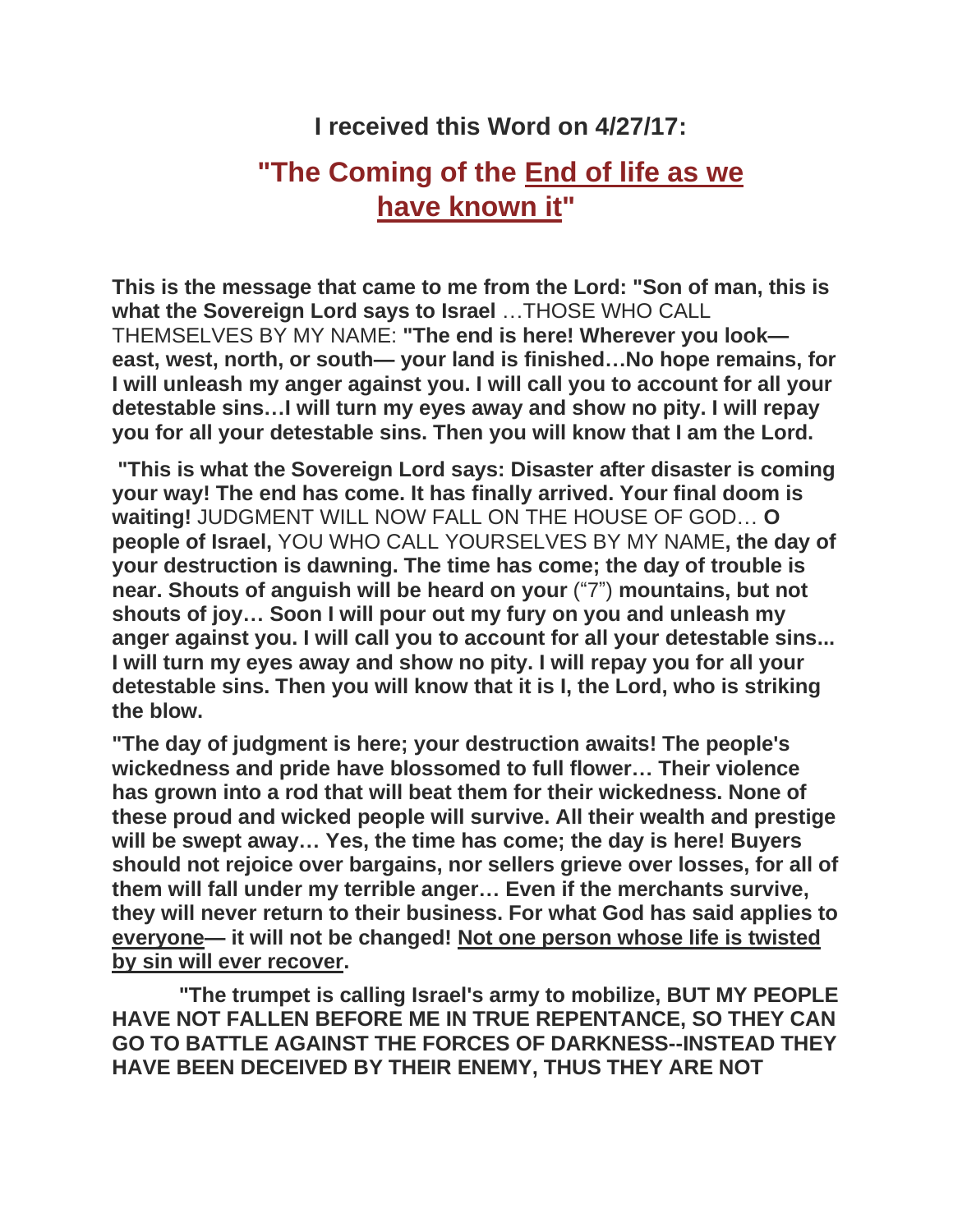## **I received this Word on 4/27/17:**

## **"The Coming of the End of life as we have known it"**

**This is the message that came to me from the Lord: "Son of man, this is what the Sovereign Lord says to Israel** …THOSE WHO CALL THEMSELVES BY MY NAME: **"The end is here! Wherever you look east, west, north, or south— your land is finished…No hope remains, for I will unleash my anger against you. I will call you to account for all your detestable sins…I will turn my eyes away and show no pity. I will repay you for all your detestable sins. Then you will know that I am the Lord.**

**"This is what the Sovereign Lord says: Disaster after disaster is coming your way! The end has come. It has finally arrived. Your final doom is waiting!** JUDGMENT WILL NOW FALL ON THE HOUSE OF GOD… **O people of Israel,** YOU WHO CALL YOURSELVES BY MY NAME**, the day of your destruction is dawning. The time has come; the day of trouble is near. Shouts of anguish will be heard on your** ("7") **mountains, but not shouts of joy… Soon I will pour out my fury on you and unleash my anger against you. I will call you to account for all your detestable sins... I will turn my eyes away and show no pity. I will repay you for all your detestable sins. Then you will know that it is I, the Lord, who is striking the blow.**

**"The day of judgment is here; your destruction awaits! The people's wickedness and pride have blossomed to full flower… Their violence has grown into a rod that will beat them for their wickedness. None of these proud and wicked people will survive. All their wealth and prestige will be swept away… Yes, the time has come; the day is here! Buyers should not rejoice over bargains, nor sellers grieve over losses, for all of them will fall under my terrible anger… Even if the merchants survive, they will never return to their business. For what God has said applies to everyone— it will not be changed! Not one person whose life is twisted by sin will ever recover.**

**"The trumpet is calling Israel's army to mobilize, BUT MY PEOPLE HAVE NOT FALLEN BEFORE ME IN TRUE REPENTANCE, SO THEY CAN GO TO BATTLE AGAINST THE FORCES OF DARKNESS--INSTEAD THEY HAVE BEEN DECEIVED BY THEIR ENEMY, THUS THEY ARE NOT**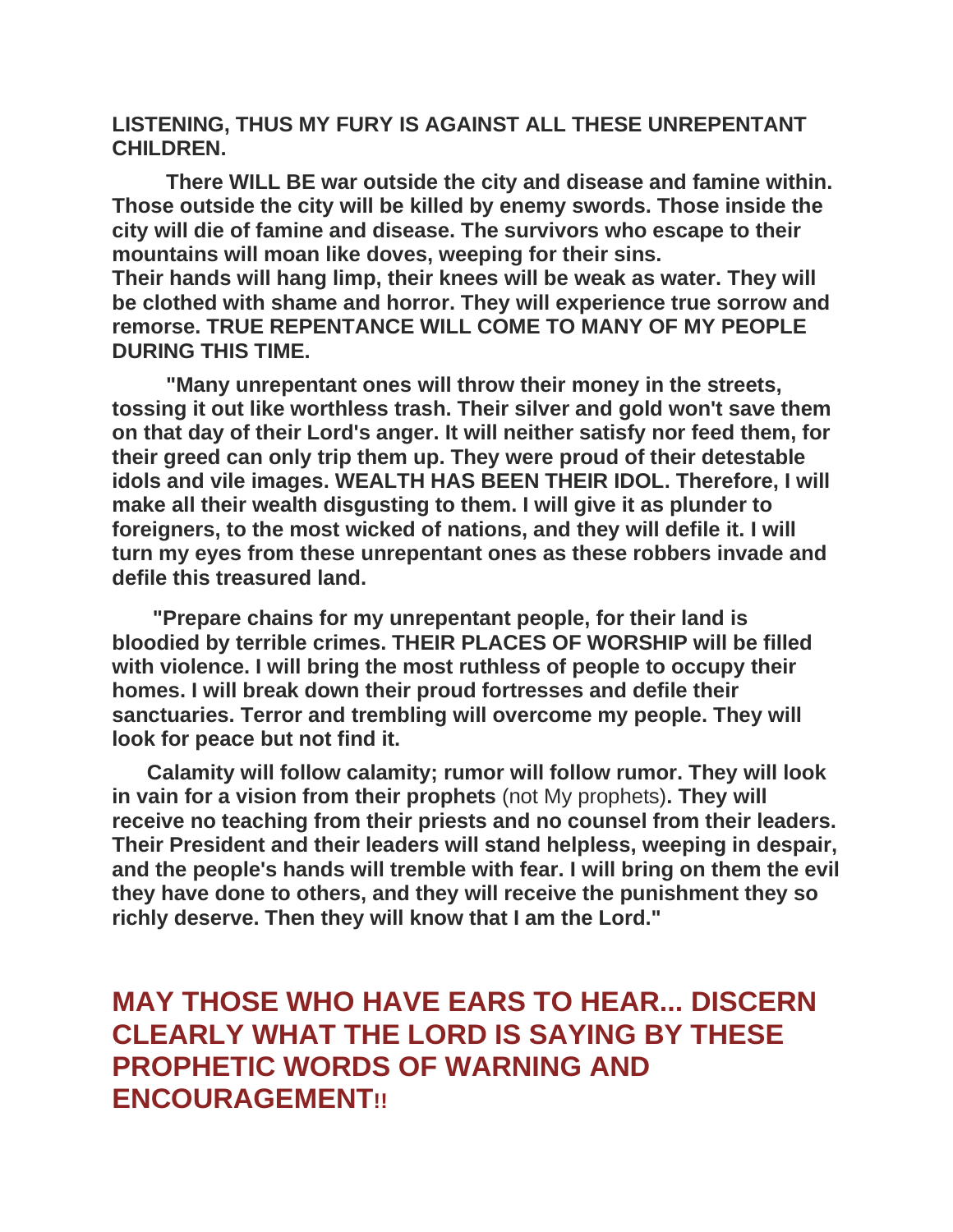**LISTENING, THUS MY FURY IS AGAINST ALL THESE UNREPENTANT CHILDREN.**

**There WILL BE war outside the city and disease and famine within. Those outside the city will be killed by enemy swords. Those inside the city will die of famine and disease. The survivors who escape to their mountains will moan like doves, weeping for their sins. Their hands will hang limp, their knees will be weak as water. They will be clothed with shame and horror. They will experience true sorrow and remorse. TRUE REPENTANCE WILL COME TO MANY OF MY PEOPLE DURING THIS TIME.**

**"Many unrepentant ones will throw their money in the streets, tossing it out like worthless trash. Their silver and gold won't save them on that day of their Lord's anger. It will neither satisfy nor feed them, for their greed can only trip them up. They were proud of their detestable idols and vile images. WEALTH HAS BEEN THEIR IDOL. Therefore, I will make all their wealth disgusting to them. I will give it as plunder to foreigners, to the most wicked of nations, and they will defile it. I will turn my eyes from these unrepentant ones as these robbers invade and defile this treasured land.**

 **"Prepare chains for my unrepentant people, for their land is bloodied by terrible crimes. THEIR PLACES OF WORSHIP will be filled with violence. I will bring the most ruthless of people to occupy their homes. I will break down their proud fortresses and defile their sanctuaries. Terror and trembling will overcome my people. They will look for peace but not find it.**

 **Calamity will follow calamity; rumor will follow rumor. They will look in vain for a vision from their prophets** (not My prophets)**. They will receive no teaching from their priests and no counsel from their leaders. Their President and their leaders will stand helpless, weeping in despair, and the people's hands will tremble with fear. I will bring on them the evil they have done to others, and they will receive the punishment they so richly deserve. Then they will know that I am the Lord."**

**MAY THOSE WHO HAVE EARS TO HEAR... DISCERN CLEARLY WHAT THE LORD IS SAYING BY THESE PROPHETIC WORDS OF WARNING AND ENCOURAGEMENT!!**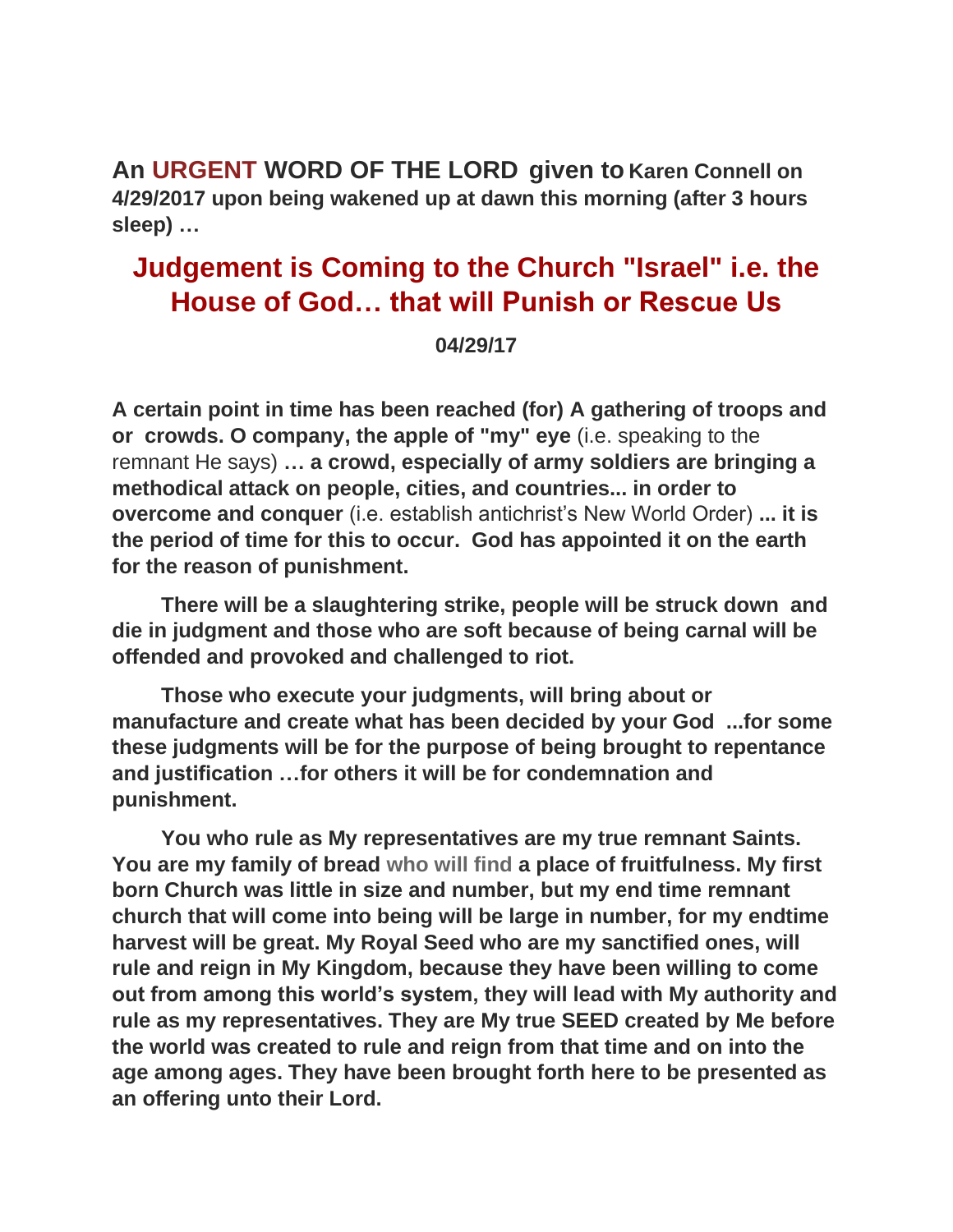**An URGENT WORD OF THE LORD given to Karen Connell on 4/29/2017 upon being wakened up at dawn this morning (after 3 hours sleep) …**

## **Judgement is Coming to the Church "Israel" i.e. the House of God… that will Punish or Rescue Us**

## **04/29/17**

**A certain point in time has been reached (for) A gathering of troops and or crowds. O company, the apple of "my" eye** (i.e. speaking to the remnant He says) **… a crowd, especially of army soldiers are bringing a methodical attack on people, cities, and countries... in order to overcome and conquer** (i.e. establish antichrist's New World Order) **... it is the period of time for this to occur. God has appointed it on the earth for the reason of punishment.**

**There will be a slaughtering strike, people will be struck down and die in judgment and those who are soft because of being carnal will be offended and provoked and challenged to riot.** 

**Those who execute your judgments, will bring about or manufacture and create what has been decided by your God ...for some these judgments will be for the purpose of being brought to repentance and justification …for others it will be for condemnation and punishment.**

**You who rule as My representatives are my true remnant Saints. You are my family of bread who will find a place of fruitfulness. My first born Church was little in size and number, but my end time remnant church that will come into being will be large in number, for my endtime harvest will be great. My Royal Seed who are my sanctified ones, will rule and reign in My Kingdom, because they have been willing to come out from among this world's system, they will lead with My authority and rule as my representatives. They are My true SEED created by Me before the world was created to rule and reign from that time and on into the age among ages. They have been brought forth here to be presented as an offering unto their Lord.**